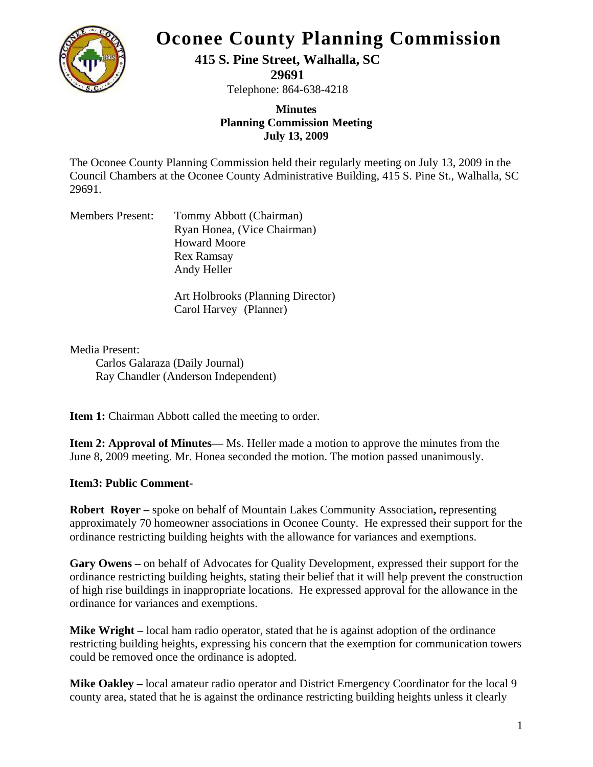

# **Oconee County Planning Commission**

## **415 S. Pine Street, Walhalla, SC**

**29691** 

Telephone: 864-638-4218

### **Minutes Planning Commission Meeting July 13, 2009**

The Oconee County Planning Commission held their regularly meeting on July 13, 2009 in the Council Chambers at the Oconee County Administrative Building, 415 S. Pine St., Walhalla, SC 29691.

| Tommy Abbott (Chairman)     |
|-----------------------------|
| Ryan Honea, (Vice Chairman) |
| <b>Howard Moore</b>         |
| <b>Rex Ramsay</b>           |
| Andy Heller                 |
|                             |

Art Holbrooks (Planning Director) Carol Harvey (Planner)

Media Present: Carlos Galaraza (Daily Journal) Ray Chandler (Anderson Independent)

**Item 1:** Chairman Abbott called the meeting to order.

**Item 2: Approval of Minutes—** Ms. Heller made a motion to approve the minutes from the June 8, 2009 meeting. Mr. Honea seconded the motion. The motion passed unanimously.

## **Item3: Public Comment-**

**Robert Royer –** spoke on behalf of Mountain Lakes Community Association**,** representing approximately 70 homeowner associations in Oconee County. He expressed their support for the ordinance restricting building heights with the allowance for variances and exemptions.

**Gary Owens –** on behalf of Advocates for Quality Development, expressed their support for the ordinance restricting building heights, stating their belief that it will help prevent the construction of high rise buildings in inappropriate locations. He expressed approval for the allowance in the ordinance for variances and exemptions.

**Mike Wright** – local ham radio operator, stated that he is against adoption of the ordinance restricting building heights, expressing his concern that the exemption for communication towers could be removed once the ordinance is adopted.

**Mike Oakley –** local amateur radio operator and District Emergency Coordinator for the local 9 county area, stated that he is against the ordinance restricting building heights unless it clearly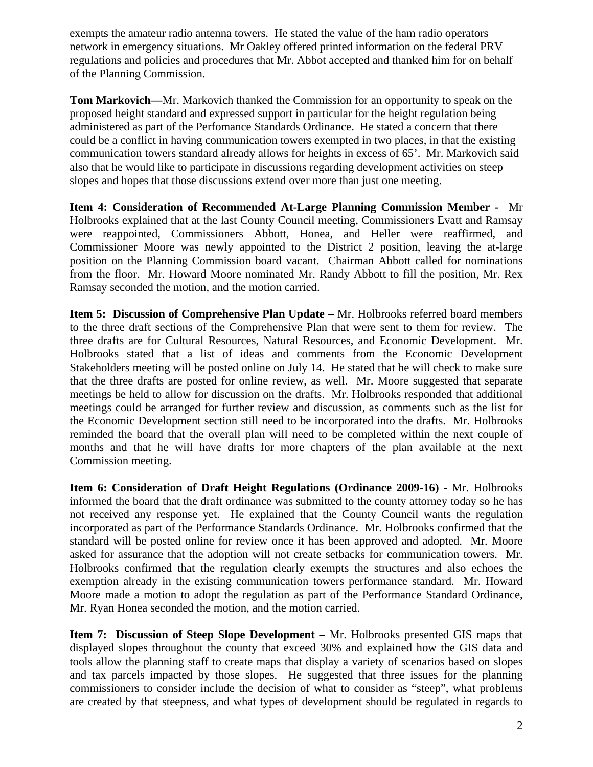exempts the amateur radio antenna towers. He stated the value of the ham radio operators network in emergency situations. Mr Oakley offered printed information on the federal PRV regulations and policies and procedures that Mr. Abbot accepted and thanked him for on behalf of the Planning Commission.

**Tom Markovich—**Mr. Markovich thanked the Commission for an opportunity to speak on the proposed height standard and expressed support in particular for the height regulation being administered as part of the Perfomance Standards Ordinance. He stated a concern that there could be a conflict in having communication towers exempted in two places, in that the existing communication towers standard already allows for heights in excess of 65'. Mr. Markovich said also that he would like to participate in discussions regarding development activities on steep slopes and hopes that those discussions extend over more than just one meeting.

**Item 4: Consideration of Recommended At-Large Planning Commission Member -** Mr Holbrooks explained that at the last County Council meeting, Commissioners Evatt and Ramsay were reappointed, Commissioners Abbott, Honea, and Heller were reaffirmed, and Commissioner Moore was newly appointed to the District 2 position, leaving the at-large position on the Planning Commission board vacant. Chairman Abbott called for nominations from the floor. Mr. Howard Moore nominated Mr. Randy Abbott to fill the position, Mr. Rex Ramsay seconded the motion, and the motion carried.

**Item 5: Discussion of Comprehensive Plan Update –** Mr. Holbrooks referred board members to the three draft sections of the Comprehensive Plan that were sent to them for review. The three drafts are for Cultural Resources, Natural Resources, and Economic Development. Mr. Holbrooks stated that a list of ideas and comments from the Economic Development Stakeholders meeting will be posted online on July 14. He stated that he will check to make sure that the three drafts are posted for online review, as well. Mr. Moore suggested that separate meetings be held to allow for discussion on the drafts. Mr. Holbrooks responded that additional meetings could be arranged for further review and discussion, as comments such as the list for the Economic Development section still need to be incorporated into the drafts. Mr. Holbrooks reminded the board that the overall plan will need to be completed within the next couple of months and that he will have drafts for more chapters of the plan available at the next Commission meeting.

**Item 6: Consideration of Draft Height Regulations (Ordinance 2009-16) -** Mr. Holbrooks informed the board that the draft ordinance was submitted to the county attorney today so he has not received any response yet. He explained that the County Council wants the regulation incorporated as part of the Performance Standards Ordinance. Mr. Holbrooks confirmed that the standard will be posted online for review once it has been approved and adopted. Mr. Moore asked for assurance that the adoption will not create setbacks for communication towers. Mr. Holbrooks confirmed that the regulation clearly exempts the structures and also echoes the exemption already in the existing communication towers performance standard. Mr. Howard Moore made a motion to adopt the regulation as part of the Performance Standard Ordinance, Mr. Ryan Honea seconded the motion, and the motion carried.

**Item 7: Discussion of Steep Slope Development –** Mr. Holbrooks presented GIS maps that displayed slopes throughout the county that exceed 30% and explained how the GIS data and tools allow the planning staff to create maps that display a variety of scenarios based on slopes and tax parcels impacted by those slopes. He suggested that three issues for the planning commissioners to consider include the decision of what to consider as "steep", what problems are created by that steepness, and what types of development should be regulated in regards to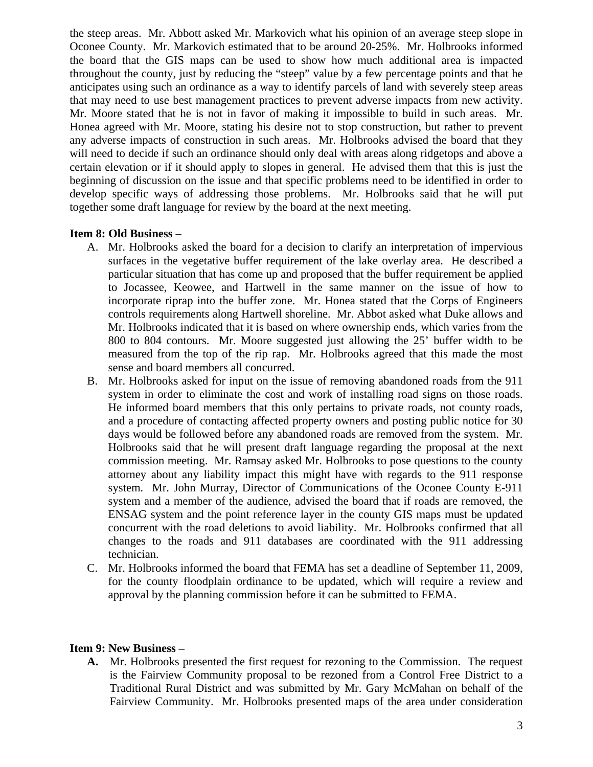the steep areas. Mr. Abbott asked Mr. Markovich what his opinion of an average steep slope in Oconee County. Mr. Markovich estimated that to be around 20-25%. Mr. Holbrooks informed the board that the GIS maps can be used to show how much additional area is impacted throughout the county, just by reducing the "steep" value by a few percentage points and that he anticipates using such an ordinance as a way to identify parcels of land with severely steep areas that may need to use best management practices to prevent adverse impacts from new activity. Mr. Moore stated that he is not in favor of making it impossible to build in such areas. Mr. Honea agreed with Mr. Moore, stating his desire not to stop construction, but rather to prevent any adverse impacts of construction in such areas. Mr. Holbrooks advised the board that they will need to decide if such an ordinance should only deal with areas along ridgetops and above a certain elevation or if it should apply to slopes in general. He advised them that this is just the beginning of discussion on the issue and that specific problems need to be identified in order to develop specific ways of addressing those problems. Mr. Holbrooks said that he will put together some draft language for review by the board at the next meeting.

#### **Item 8: Old Business** –

- A. Mr. Holbrooks asked the board for a decision to clarify an interpretation of impervious surfaces in the vegetative buffer requirement of the lake overlay area. He described a particular situation that has come up and proposed that the buffer requirement be applied to Jocassee, Keowee, and Hartwell in the same manner on the issue of how to incorporate riprap into the buffer zone. Mr. Honea stated that the Corps of Engineers controls requirements along Hartwell shoreline. Mr. Abbot asked what Duke allows and Mr. Holbrooks indicated that it is based on where ownership ends, which varies from the 800 to 804 contours. Mr. Moore suggested just allowing the 25' buffer width to be measured from the top of the rip rap. Mr. Holbrooks agreed that this made the most sense and board members all concurred.
- B. Mr. Holbrooks asked for input on the issue of removing abandoned roads from the 911 system in order to eliminate the cost and work of installing road signs on those roads. He informed board members that this only pertains to private roads, not county roads, and a procedure of contacting affected property owners and posting public notice for 30 days would be followed before any abandoned roads are removed from the system. Mr. Holbrooks said that he will present draft language regarding the proposal at the next commission meeting. Mr. Ramsay asked Mr. Holbrooks to pose questions to the county attorney about any liability impact this might have with regards to the 911 response system. Mr. John Murray, Director of Communications of the Oconee County E-911 system and a member of the audience, advised the board that if roads are removed, the ENSAG system and the point reference layer in the county GIS maps must be updated concurrent with the road deletions to avoid liability. Mr. Holbrooks confirmed that all changes to the roads and 911 databases are coordinated with the 911 addressing technician.
- C. Mr. Holbrooks informed the board that FEMA has set a deadline of September 11, 2009, for the county floodplain ordinance to be updated, which will require a review and approval by the planning commission before it can be submitted to FEMA.

#### **Item 9: New Business –**

**A.** Mr. Holbrooks presented the first request for rezoning to the Commission. The request is the Fairview Community proposal to be rezoned from a Control Free District to a Traditional Rural District and was submitted by Mr. Gary McMahan on behalf of the Fairview Community. Mr. Holbrooks presented maps of the area under consideration